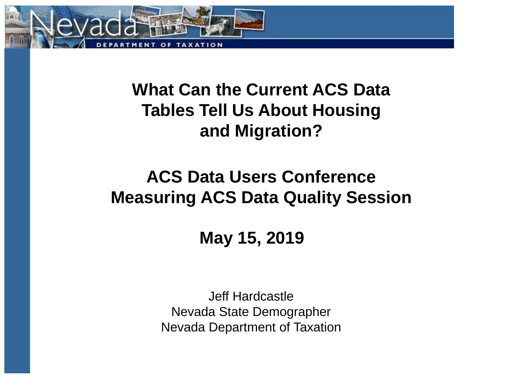

## **What Can the Current ACS Data Tables Tell Us About Housing and Migration?**

## **ACS Data Users Conference Measuring ACS Data Quality Session**

**May 15, 2019**

Jeff Hardcastle Nevada State Demographer Nevada Department of Taxation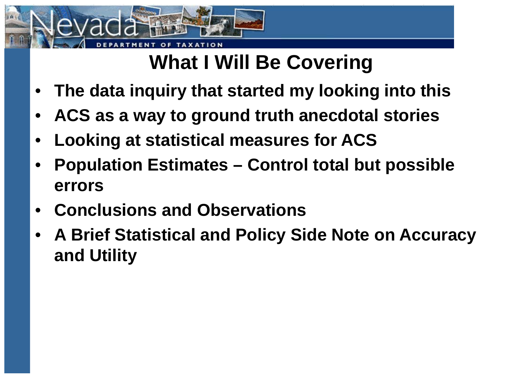

# **What I Will Be Covering**

- **The data inquiry that started my looking into this**
- **ACS as a way to ground truth anecdotal stories**
- **Looking at statistical measures for ACS**
- **Population Estimates – Control total but possible errors**
- **Conclusions and Observations**
- **A Brief Statistical and Policy Side Note on Accuracy and Utility**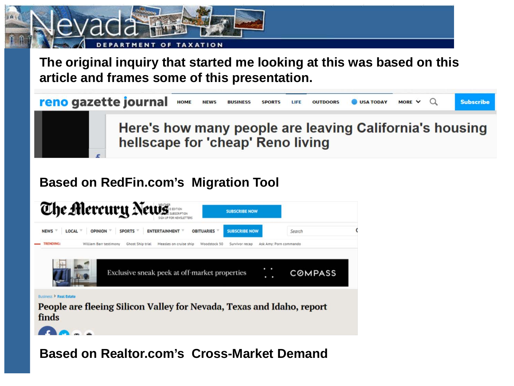

**The original inquiry that started me looking at this was based on this article and frames some of this presentation.**



### **Based on RedFin.com's Migration Tool**



#### **Based on Realtor.com's Cross-Market Demand**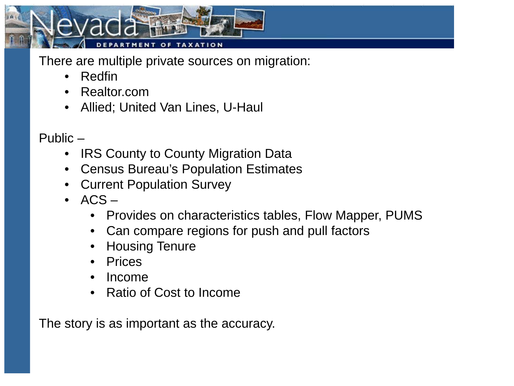

There are multiple private sources on migration:

- Redfin
- Realtor.com
- Allied; United Van Lines, U-Haul

Public –

- IRS County to County Migration Data
- Census Bureau's Population Estimates
- Current Population Survey
- $\bullet$  ACS
	- Provides on characteristics tables, Flow Mapper, PUMS
	- Can compare regions for push and pull factors
	- Housing Tenure
	- Prices
	- Income
	- Ratio of Cost to Income

The story is as important as the accuracy.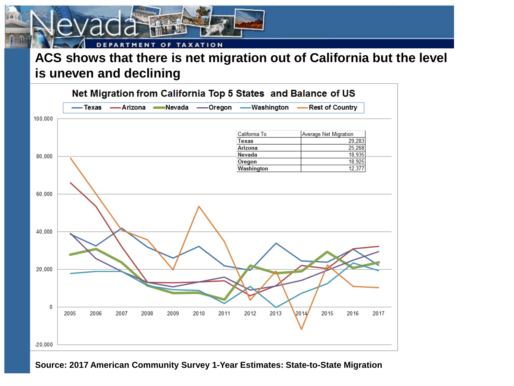#### **TAXATION** OF **ACS shows that there is net migration out of California but the level is uneven and declining**



#### **Source: 2017 American Community Survey 1-Year Estimates: State-to-State Migration**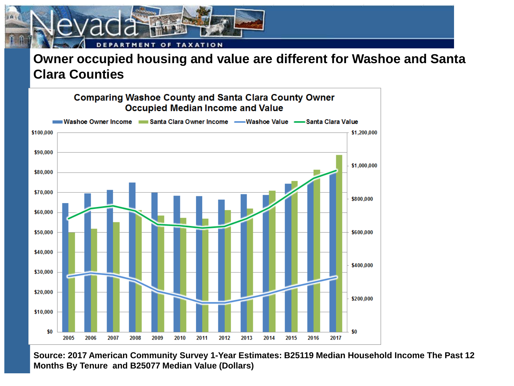

#### **Owner occupied housing and value are different for Washoe and Santa Clara Counties**



**Source: 2017 American Community Survey 1-Year Estimates: B25119 Median Household Income The Past 12 Months By Tenure and B25077 Median Value (Dollars)**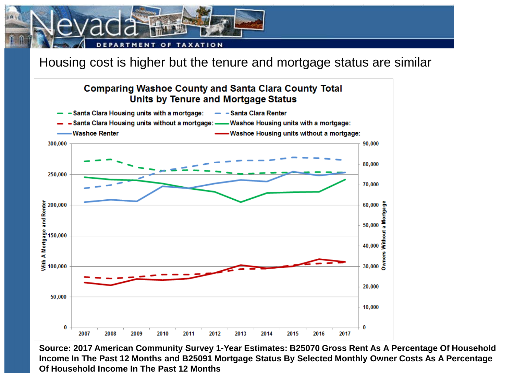

Housing cost is higher but the tenure and mortgage status are similar



**Source: 2017 American Community Survey 1-Year Estimates: B25070 Gross Rent As A Percentage Of Household Income In The Past 12 Months and B25091 Mortgage Status By Selected Monthly Owner Costs As A Percentage Of Household Income In The Past 12 Months**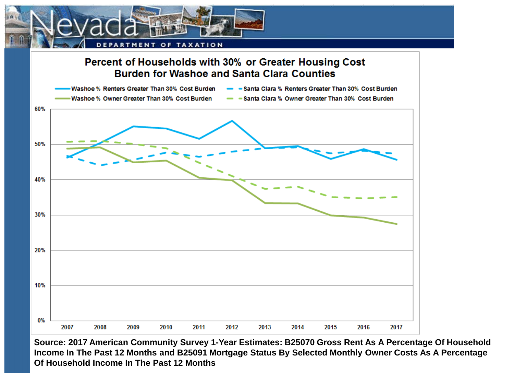



**Source: 2017 American Community Survey 1-Year Estimates: B25070 Gross Rent As A Percentage Of Household Income In The Past 12 Months and B25091 Mortgage Status By Selected Monthly Owner Costs As A Percentage Of Household Income In The Past 12 Months**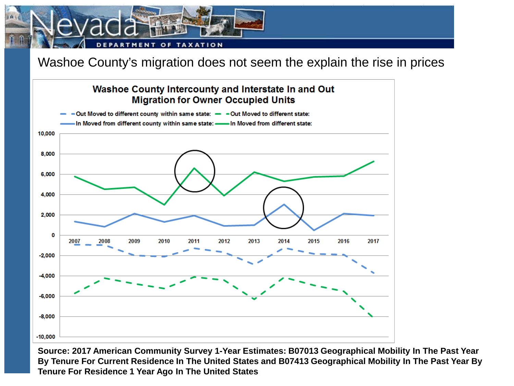

Washoe County's migration does not seem the explain the rise in prices



**Source: 2017 American Community Survey 1-Year Estimates: B07013 Geographical Mobility In The Past Year By Tenure For Current Residence In The United States and B07413 Geographical Mobility In The Past Year By Tenure For Residence 1 Year Ago In The United States**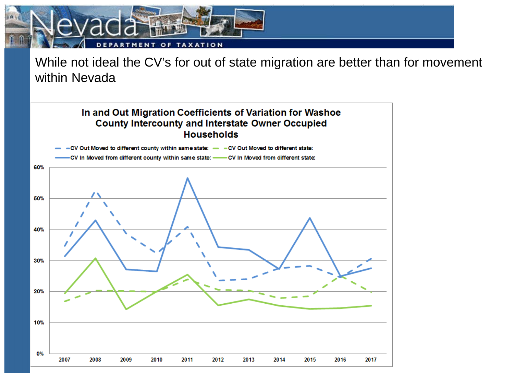

While not ideal the CV's for out of state migration are better than for movement within Nevada

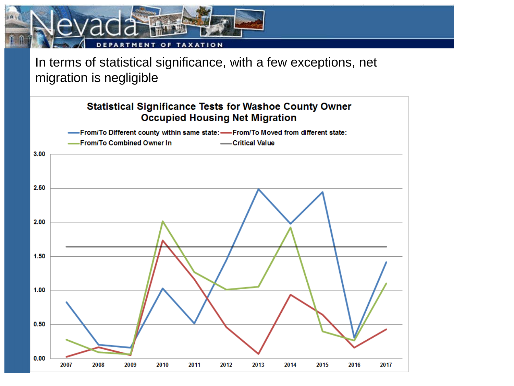

In terms of statistical significance, with a few exceptions, net migration is negligible

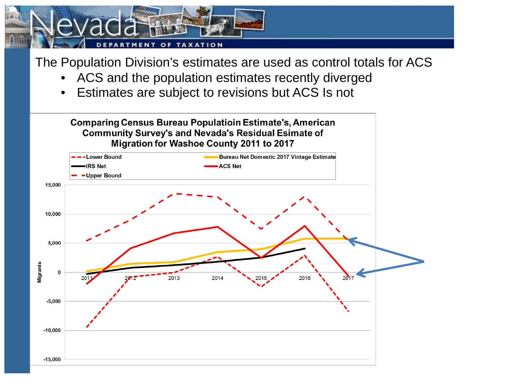

The Population Division's estimates are used as control totals for ACS

- ACS and the population estimates recently diverged
- Estimates are subject to revisions but ACS Is not

**Comparing Census Bureau Populatioin Estimate's, American Community Survey's and Nevada's Residual Esimate of** Migration for Washoe County 2011 to 2017

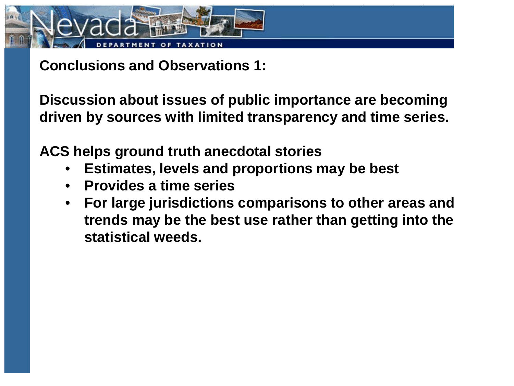

**Conclusions and Observations 1:**

**Discussion about issues of public importance are becoming driven by sources with limited transparency and time series.**

**ACS helps ground truth anecdotal stories**

- **Estimates, levels and proportions may be best**
- **Provides a time series**
- **For large jurisdictions comparisons to other areas and trends may be the best use rather than getting into the statistical weeds.**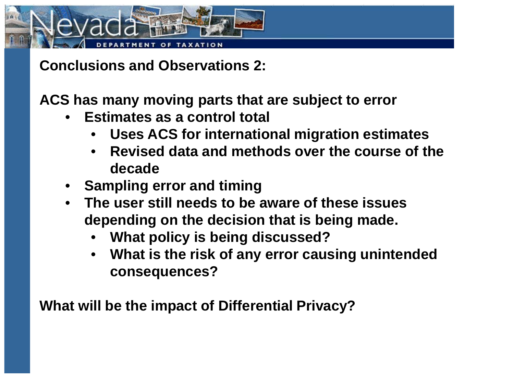

**Conclusions and Observations 2:**

**ACS has many moving parts that are subject to error**

- **Estimates as a control total** 
	- **Uses ACS for international migration estimates**
	- **Revised data and methods over the course of the decade**
- **Sampling error and timing**
- **The user still needs to be aware of these issues depending on the decision that is being made.** 
	- **What policy is being discussed?**
	- **What is the risk of any error causing unintended consequences?**

**What will be the impact of Differential Privacy?**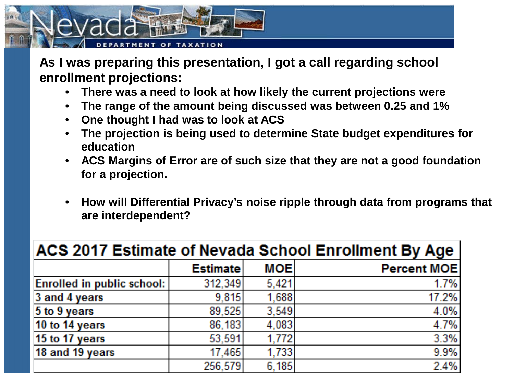

**As I was preparing this presentation, I got a call regarding school enrollment projections:**

- **There was a need to look at how likely the current projections were**
- **The range of the amount being discussed was between 0.25 and 1%**
- **One thought I had was to look at ACS**
- **The projection is being used to determine State budget expenditures for education**
- **ACS Margins of Error are of such size that they are not a good foundation for a projection.**
- **How will Differential Privacy's noise ripple through data from programs that are interdependent?**

| <b>ACS 2017 Estimate of Nevada School Enrollment By Age</b> |                 |            |                    |
|-------------------------------------------------------------|-----------------|------------|--------------------|
|                                                             | <b>Estimate</b> | <b>MOE</b> | <b>Percent MOE</b> |
| <b>Enrolled in public school:</b>                           | 312,349         | 5,421      | 1.7%               |
| 3 and 4 years                                               | 9.815           | 1,688      | 17.2%              |
| $5$ to $9$ years                                            | 89.525          | 3.549      | 4.0%               |
| 10 to 14 years                                              | 86,183          | 4,083      | 4.7%               |
| 15 to 17 years                                              | 53,591          | 1.772      | 3.3%               |
| 18 and 19 years                                             | 17,465          | 1.733      | 9.9%               |
|                                                             | 256,579         | 6,185      | 2.4%               |